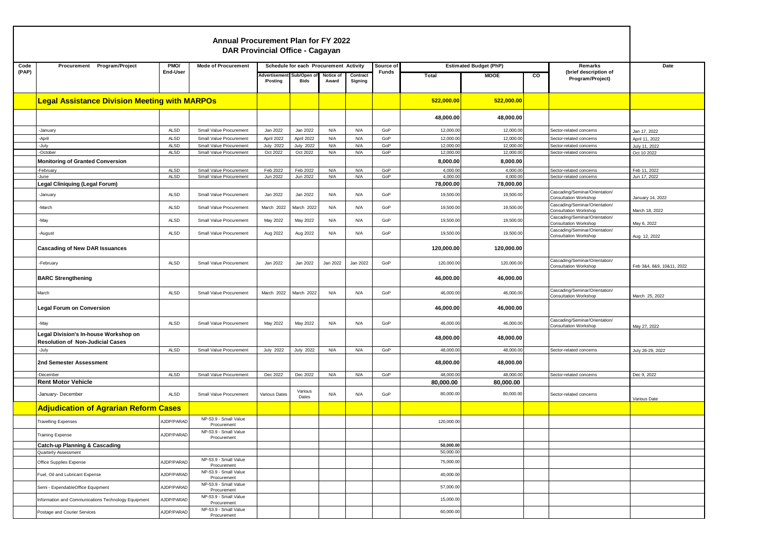|       |                                                                                  |                     | <b>Annual Procurement Plan for FY 2022</b><br><b>DAR Provincial Office - Cagayan</b> |                              |                                        |                    |                     |              |                        |                               |                         |                                                                |                              |
|-------|----------------------------------------------------------------------------------|---------------------|--------------------------------------------------------------------------------------|------------------------------|----------------------------------------|--------------------|---------------------|--------------|------------------------|-------------------------------|-------------------------|----------------------------------------------------------------|------------------------------|
| Code  | Procurement Program/Project                                                      | PMO/                | <b>Mode of Procurement</b>                                                           |                              | Schedule for each Procurement Activity |                    |                     | Source of    |                        | <b>Estimated Budget (PhP)</b> |                         | Remarks                                                        | Date                         |
| (PAP) |                                                                                  | End-User            |                                                                                      | Advertiseme<br>/Posting      | Sub/Open<br>Bids                       | Notice of<br>Award | Contract<br>Signing | <b>Funds</b> | Total                  | <b>MOOE</b>                   | $\overline{\mathbf{c}}$ | (brief description of<br>Program/Project)                      |                              |
|       | <b>Legal Assistance Division Meeting with MARPOs</b>                             |                     |                                                                                      |                              |                                        |                    |                     |              | 522,000.00             | 522,000.00                    |                         |                                                                |                              |
|       |                                                                                  |                     |                                                                                      |                              |                                        |                    |                     |              | 48,000.00              | 48,000.00                     |                         |                                                                |                              |
|       | -January                                                                         | ALSD                | Small Value Procurement                                                              | Jan 2022                     | Jan 2022                               | N/A                | N/A                 | GoP          | 12,000.00              | 12,000.0                      |                         | Sector-related concerns                                        | Jan 17, 2022                 |
|       | April                                                                            | <b>ALSD</b>         | Small Value Procurement                                                              | April 2022                   | April 2022                             | N/A                | N/A                 | GoP          | 12,000.00              | 12,000.0                      |                         | Sector-related concerns                                        | April 11, 2022               |
|       | -July<br>-October                                                                | <b>ALSD</b><br>ALSD | Small Value Procurement<br>Small Value Procurement                                   | <b>July 2022</b><br>Oct 2022 | <b>July 2022</b><br>Oct 2022           | N/A<br>N/A         | N/A<br>N/A          | GoP<br>GoP   | 12,000.00<br>12,000.00 | 12,000.0<br>12,000.0          |                         | Sector-related concerns<br>Sector-related concerns             | July 11, 2022<br>Oct 10 2022 |
|       | <b>Monitoring of Granted Conversion</b>                                          |                     |                                                                                      |                              |                                        |                    |                     |              |                        |                               |                         |                                                                |                              |
|       | February                                                                         | ALSD                | Small Value Procurement                                                              | Feb 2022                     | Feb 2022                               | N/A                | N/A                 | GoP          | 8,000.00<br>4,000.00   | 8,000.00<br>4,000.0           |                         | Sector-related concerns                                        | Feb 11, 2022                 |
|       | June-                                                                            | <b>ALSD</b>         | Small Value Procurement                                                              | Jun 2022                     | Jun 2022                               | N/A                | N/A                 | GoP          | 4,000.00               | 4,000.0                       |                         | Sector-related concerns                                        | Jun 17, 2022                 |
|       | Legal Cliniquing (Legal Forum)                                                   |                     |                                                                                      |                              |                                        |                    |                     |              | 78,000.00              | 78,000.00                     |                         |                                                                |                              |
|       | -January                                                                         | ALSD                | Small Value Procurement                                                              | Jan 2022                     | Jan 2022                               | N/A                | N/A                 | GoP          | 19,500.00              | 19,500.0                      |                         | Cascading/Seminar/Orientation/<br>Consultation Workshop        | January 14, 2022             |
|       | -March                                                                           | ALSD                | Small Value Procurement                                                              | March 2022                   | March 2022                             | N/A                | N/A                 | GoP          | 19,500.00              | 19,500.0                      |                         | Cascading/Seminar/Orientation/<br>Consultation Workshop        | March 18, 2022               |
|       | -May                                                                             | ALSD                | Small Value Procurement                                                              | May 2022                     | May 2022                               | N/A                | N/A                 | GoP          | 19,500.00              | 19,500.0                      |                         | Cascading/Seminar/Orientation/<br><b>Consultation Workshop</b> | May 6, 2022                  |
|       | -August                                                                          | ALSD                | Small Value Procurement                                                              | Aug 2022                     | Aug 2022                               | N/A                | N/A                 | GoP          | 19,500.00              | 19,500.0                      |                         | Cascading/Seminar/Orientation/<br>Consultation Workshop        | Aug 12, 2022                 |
|       | <b>Cascading of New DAR Issuances</b>                                            |                     |                                                                                      |                              |                                        |                    |                     |              | 120,000.00             | 120,000.00                    |                         |                                                                |                              |
|       | -February                                                                        | ALSD                | Small Value Procurement                                                              | Jan 2022                     | Jan 2022                               | Jan 2022           | Jan 2022            | GoP          | 120,000.00             | 120,000.00                    |                         | Cascading/Seminar/Orientation/<br><b>Consultation Workshop</b> | Feb 3&4, 8&9, 10&11, 2022    |
|       | <b>BARC Strengthening</b>                                                        |                     |                                                                                      |                              |                                        |                    |                     |              | 46,000.00              | 46,000.00                     |                         |                                                                |                              |
|       | March                                                                            | ALSD                | Small Value Procurement                                                              | March 2022                   | March 2022                             | N/A                | N/A                 | GoP          | 46,000.00              | 46,000.0                      |                         | Cascading/Seminar/Orientation/<br>Consultation Workshop        | March 25, 2022               |
|       | Legal Forum on Conversion                                                        |                     |                                                                                      |                              |                                        |                    |                     |              | 46,000.00              | 46,000.00                     |                         |                                                                |                              |
|       | -May                                                                             | ALSD                | Small Value Procurement                                                              | May 2022                     | May 2022                               | N/A                | N/A                 | GoP          | 46,000.00              | 46,000.0                      |                         | Cascading/Seminar/Orientation/<br>Consultation Workshop        | May 27, 2022                 |
|       | Legal Division's In-house Workshop on<br><b>Resolution of Non-Judicial Cases</b> |                     |                                                                                      |                              |                                        |                    |                     |              | 48,000.00              | 48,000.00                     |                         |                                                                |                              |
|       | -July                                                                            | ALSD                | Small Value Procurement                                                              | <b>July 2022</b>             | <b>July 2022</b>                       | N/A                | N/A                 | GoP          | 48,000.00              | 48,000.00                     |                         | Sector-related concerns                                        | July 26-29, 2022             |
|       | 2nd Semester Assessment                                                          |                     |                                                                                      |                              |                                        |                    |                     |              | 48,000.00              | 48,000.00                     |                         |                                                                |                              |
|       | -December                                                                        | ALSD                | Small Value Procurement                                                              | Dec 2022                     | Dec 2022                               | N/A                | N/A                 | GoP          | 48,000.00              | 48,000.0                      |                         | Sector-related concerns                                        | Dec 9, 2022                  |
|       | <b>Rent Motor Vehicle</b>                                                        |                     |                                                                                      |                              |                                        |                    |                     |              | 80,000.00              | 80,000.00                     |                         |                                                                |                              |
|       | -January- December                                                               | <b>ALSD</b>         | Small Value Procurement                                                              | Various Dates                | Various<br>Dates                       | N/A                | N/A                 | GoP          | 80,000.00              | 80,000.00                     |                         | Sector-related concerns                                        | Various Date                 |
|       | <b>Adjudication of Agrarian Reform Cases</b>                                     |                     |                                                                                      |                              |                                        |                    |                     |              |                        |                               |                         |                                                                |                              |
|       | <b>Travelling Expenses</b>                                                       | AJDP/PARAD          | NP-53.9 - Small Value<br>Procurement                                                 |                              |                                        |                    |                     |              | 120,000.00             |                               |                         |                                                                |                              |
|       | Training Expense                                                                 | AJDP/PARAD          | NP-53.9 - Small Value<br>Procurement                                                 |                              |                                        |                    |                     |              |                        |                               |                         |                                                                |                              |
|       | <b>Catch-up Planning &amp; Cascading</b>                                         |                     |                                                                                      |                              |                                        |                    |                     |              | 50,000.00              |                               |                         |                                                                |                              |
|       | Quarterly Assessment                                                             |                     | NP-53.9 - Small Value                                                                |                              |                                        |                    |                     |              | 50,000.00              |                               |                         |                                                                |                              |
|       | Office Supplies Expense                                                          | AJDP/PARAD          | Procurement                                                                          |                              |                                        |                    |                     |              | 75,000.00              |                               |                         |                                                                |                              |
|       | Fuel, Oil and Lubricant Expense                                                  | AJDP/PARAD          | NP-53.9 - Small Value<br>Procurement                                                 |                              |                                        |                    |                     |              | 40,000.00              |                               |                         |                                                                |                              |
|       | Semi - ExpendableOffice Equipment                                                | AJDP/PARAD          | NP-53.9 - Small Value<br>Procurement<br>NP-53.9 - Small Value                        |                              |                                        |                    |                     |              | 57,000.00              |                               |                         |                                                                |                              |
|       | Information and Communications Technology Equipment                              | AJDP/PARAD          | Procurement                                                                          |                              |                                        |                    |                     |              | 15,000.00              |                               |                         |                                                                |                              |
|       | Postage and Courier Services                                                     | AJDP/PARAD          | NP-53.9 - Small Value<br>Procurement                                                 |                              |                                        |                    |                     |              | 60,000.00              |                               |                         |                                                                |                              |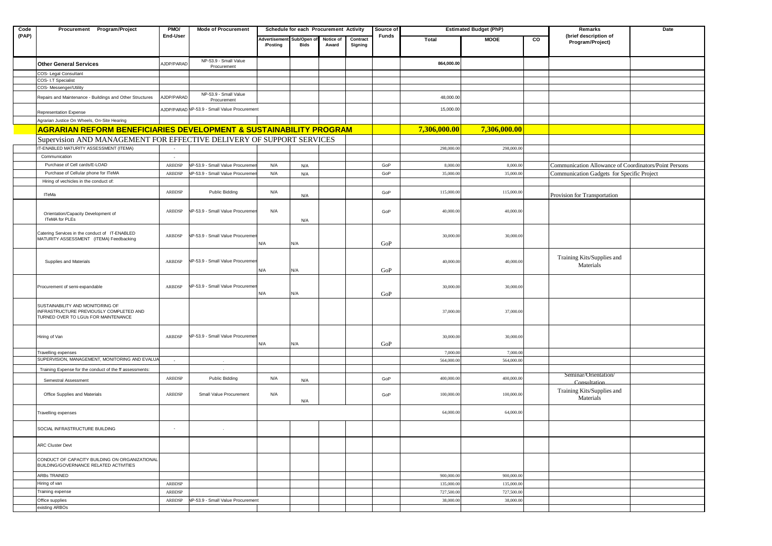| Code  | Procurement Program/Project                                                                                        | PMO/          | <b>Mode of Procurement</b>                   |                          | Schedule for each Procurement Activity |                    |                     | Source of    |              | <b>Estimated Budget (PhP)</b> |                | Remarks                                               | Date |
|-------|--------------------------------------------------------------------------------------------------------------------|---------------|----------------------------------------------|--------------------------|----------------------------------------|--------------------|---------------------|--------------|--------------|-------------------------------|----------------|-------------------------------------------------------|------|
| (PAP) |                                                                                                                    | End-User      |                                              | Advertisemer<br>/Posting | <b>Sub/Open</b><br><b>Bids</b>         | Notice of<br>Award | Contract<br>Signing | <b>Funds</b> | Total        | <b>MOOE</b>                   | $\overline{c}$ | (brief description of<br>Program/Project)             |      |
|       | <b>Other General Services</b>                                                                                      | AJDP/PARAD    | NP-53.9 - Small Value<br>Procurement         |                          |                                        |                    |                     |              | 864,000.00   |                               |                |                                                       |      |
|       | COS- Legal Consultant                                                                                              |               |                                              |                          |                                        |                    |                     |              |              |                               |                |                                                       |      |
|       | COS- I.T Specialist                                                                                                |               |                                              |                          |                                        |                    |                     |              |              |                               |                |                                                       |      |
|       | COS- Messenger/Utility                                                                                             |               |                                              |                          |                                        |                    |                     |              |              |                               |                |                                                       |      |
|       | Repairs and Maintenance - Buildings and Other Structures                                                           | AJDP/PARAD    | NP-53.9 - Small Value<br>Procurement         |                          |                                        |                    |                     |              | 48,000.00    |                               |                |                                                       |      |
|       | Representation Expense                                                                                             |               | AJDP/PARAD NP-53.9 - Small Value Procurement |                          |                                        |                    |                     |              | 15,000.00    |                               |                |                                                       |      |
|       | Agrarian Justice On Wheels, On-Site Hearing                                                                        |               |                                              |                          |                                        |                    |                     |              |              |                               |                |                                                       |      |
|       | <b>AGRARIAN REFORM BENEFICIARIES DEVELOPMENT &amp; SUSTAINABILITY PROGRAM</b>                                      |               |                                              |                          |                                        |                    |                     |              | 7,306,000.00 | 7,306,000.00                  |                |                                                       |      |
|       | Supervision AND MANAGEMENT FOR EFFECTIVE DELIVERY OF SUPPORT SERVICES                                              |               |                                              |                          |                                        |                    |                     |              |              |                               |                |                                                       |      |
|       | IT-ENABLED MATURITY ASSESSMENT (ITEMA)                                                                             |               |                                              |                          |                                        |                    |                     |              | 298,000.0    | 298,000.0                     |                |                                                       |      |
|       | Communication                                                                                                      |               |                                              |                          |                                        |                    |                     |              |              |                               |                |                                                       |      |
|       | Purchase of Cell cards/E-LOAD                                                                                      | ARBDSP        | VP-53.9 - Small Value Procureme              | N/A                      | N/A                                    |                    |                     | GoP          | 8,000.0      | 8,000.0                       |                | Communication Allowance of Coordinators/Point Persons |      |
|       | Purchase of Cellular phone for ITeMA                                                                               | <b>ARBDSP</b> | IP-53.9 - Small Value Procureme              | N/A                      | N/A                                    |                    |                     | GoP          | 35,000.0     | 35,000.0                      |                | Communication Gadgets for Specific Project            |      |
|       | Hiring of vechicles in the conduct of:                                                                             |               |                                              |                          |                                        |                    |                     |              |              |                               |                |                                                       |      |
|       | <b>ITeMa</b>                                                                                                       | ARBDSP        | Public Bidding                               | N/A                      |                                        |                    |                     | GoP          | 115,000.0    | 115,000.0                     |                |                                                       |      |
|       |                                                                                                                    |               |                                              |                          | N/A                                    |                    |                     |              |              |                               |                | Provision for Transportation                          |      |
|       | Orientation/Capacity Development of<br><b>ITeMA for PLEs</b>                                                       | ARBDSP        | VP-53.9 - Small Value Procuremen             | N/A                      | N/A                                    |                    |                     | GoP          | 40,000.0     | 40,000.00                     |                |                                                       |      |
|       |                                                                                                                    |               |                                              |                          |                                        |                    |                     |              |              |                               |                |                                                       |      |
|       | Catering Services in the conduct of IT-ENABLED<br>MATURITY ASSESSMENT (ITEMA) Feedbacking                          | ARBDSP        | VP-53.9 - Small Value Procuremer             | N/A                      | N/A                                    |                    |                     | GoP          | 30,000.0     | 30,000.00                     |                |                                                       |      |
|       | Supplies and Materials                                                                                             | ARBDSP        | VP-53.9 - Small Value Procuremen             |                          |                                        |                    |                     |              | 40,000.00    | 40,000.00                     |                | Training Kits/Supplies and<br>Materials               |      |
|       |                                                                                                                    |               |                                              | N/A                      | N/A                                    |                    |                     | GoP          |              |                               |                |                                                       |      |
|       | Procurement of semi-expandable                                                                                     | ARBDSP        | IP-53.9 - Small Value Procuremen             |                          |                                        |                    |                     |              | 30,000.00    | 30,000.00                     |                |                                                       |      |
|       |                                                                                                                    |               |                                              | N/A                      | N/A                                    |                    |                     | GoP          |              |                               |                |                                                       |      |
|       | SUSTAINABILITY AND MONITORING OF<br>INFRASTRUCTURE PREVIOUSLY COMPLETED AND<br>TURNED OVER TO LGUs FOR MAINTENANCE |               |                                              |                          |                                        |                    |                     |              | 37,000.00    | 37,000.00                     |                |                                                       |      |
|       | Hiring of Van                                                                                                      | ARBDSP        | VP-53.9 - Small Value Procuremer             | N/A                      | N/A                                    |                    |                     | GoP          | 30,000.00    | 30,000.00                     |                |                                                       |      |
|       | Travelling expenses                                                                                                |               |                                              |                          |                                        |                    |                     |              | 7,000.0      | 7,000.00                      |                |                                                       |      |
|       | SUPERVISION, MANAGEMENT, MONITORING AND EVALU.                                                                     |               |                                              |                          |                                        |                    |                     |              | 564,000.0    | 564,000.0                     |                |                                                       |      |
|       | Training Expense for the conduct of the ff assessments:                                                            |               |                                              |                          |                                        |                    |                     |              |              |                               |                |                                                       |      |
|       | Semestral Assessment                                                                                               | ARBDSP        | Public Bidding                               | N/A                      | N/A                                    |                    |                     | GoP          | 400,000.0    | 400,000.00                    |                | Seminar/Orientation/<br>Consultation                  |      |
|       | Office Supplies and Materials                                                                                      | ARBDSP        | Small Value Procurement                      | N/A                      | N/A                                    |                    |                     | GoP          | 100,000.00   | 100,000.00                    |                | Training Kits/Supplies and<br>Materials               |      |
|       | Travelling expenses                                                                                                |               |                                              |                          |                                        |                    |                     |              | 64,000.00    | 64,000.00                     |                |                                                       |      |
|       | SOCIAL INFRASTRUCTURE BUILDING                                                                                     |               |                                              |                          |                                        |                    |                     |              |              |                               |                |                                                       |      |
|       | ARC Cluster Devt                                                                                                   |               |                                              |                          |                                        |                    |                     |              |              |                               |                |                                                       |      |
|       | CONDUCT OF CAPACITY BUILDING ON ORGANIZATIONAL<br><b>BUILDING/GOVERNANCE RELATED ACTIVITIES</b>                    |               |                                              |                          |                                        |                    |                     |              |              |                               |                |                                                       |      |
|       | ARBs TRAINED                                                                                                       |               |                                              |                          |                                        |                    |                     |              | 900,000.0    | 900,000.0                     |                |                                                       |      |
|       | Hiring of van                                                                                                      | ARBDSP        |                                              |                          |                                        |                    |                     |              | 135,000.0    | 135,000.0                     |                |                                                       |      |
|       | Training expense                                                                                                   | ARBDSP        |                                              |                          |                                        |                    |                     |              | 727,500.0    | 727,500.0                     |                |                                                       |      |
|       | Office supplies                                                                                                    | ARBDSP        | IP-53.9 - Small Value Procurement            |                          |                                        |                    |                     |              | 38,000.0     | 38,000.0                      |                |                                                       |      |
|       | existing ARBOs                                                                                                     |               |                                              |                          |                                        |                    |                     |              |              |                               |                |                                                       |      |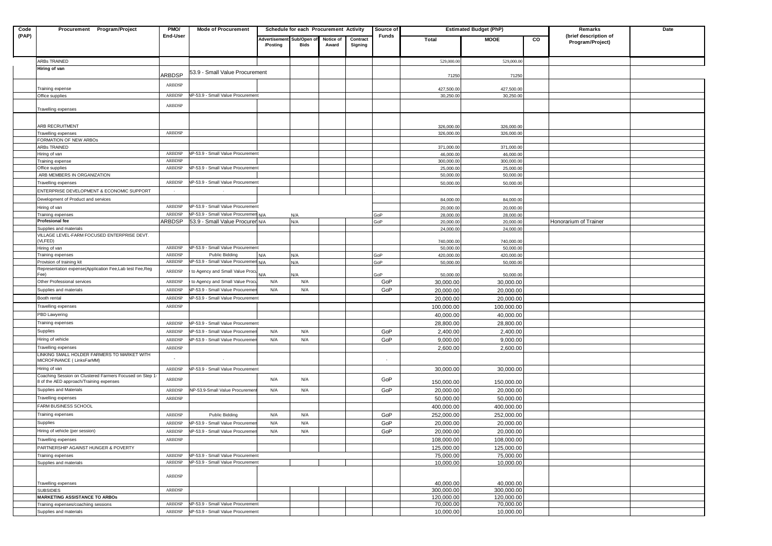| Code  | Procurement Program/Project                                              | PMO/          | <b>Mode of Procurement</b>           |               | Schedule for each Procurement Activity |           |          | Source of    |                         | <b>Estimated Budget (PhP)</b> |                         | Remarks                                   | Date |
|-------|--------------------------------------------------------------------------|---------------|--------------------------------------|---------------|----------------------------------------|-----------|----------|--------------|-------------------------|-------------------------------|-------------------------|-------------------------------------------|------|
| (PAP) |                                                                          | End-User      |                                      | Advertisement | Sub/Open o                             | Notice of | Contract | <b>Funds</b> | Total                   | <b>MOOE</b>                   | $\overline{\mathbf{c}}$ | (brief description of<br>Program/Project) |      |
|       |                                                                          |               |                                      | /Posting      | Bids                                   | Award     | Signing  |              |                         |                               |                         |                                           |      |
|       |                                                                          |               |                                      |               |                                        |           |          |              |                         |                               |                         |                                           |      |
|       | ARBs TRAINED                                                             |               |                                      |               |                                        |           |          |              | 529,000.00              | 529,000.00                    |                         |                                           |      |
|       | Hiring of van                                                            | ARBDSP        | 53.9 - Small Value Procurement       |               |                                        |           |          |              |                         |                               |                         |                                           |      |
|       |                                                                          |               |                                      |               |                                        |           |          |              | 71250                   | 71250                         |                         |                                           |      |
|       | Training expense                                                         | ARBDSP        |                                      |               |                                        |           |          |              | 427,500.00              | 427,500.00                    |                         |                                           |      |
|       | Office supplies                                                          | ARBDSP        | NP-53.9 - Small Value Procurement    |               |                                        |           |          |              | 30,250.00               | 30,250.00                     |                         |                                           |      |
|       |                                                                          | ARBDSP        |                                      |               |                                        |           |          |              |                         |                               |                         |                                           |      |
|       | Travelling expenses                                                      |               |                                      |               |                                        |           |          |              |                         |                               |                         |                                           |      |
|       |                                                                          |               |                                      |               |                                        |           |          |              |                         |                               |                         |                                           |      |
|       | ARB RECRUITMENT<br>Travelling expenses                                   | ARBDSP        |                                      |               |                                        |           |          |              | 326,000.0<br>326,000.00 | 326,000.00<br>326,000.00      |                         |                                           |      |
|       | FORMATION OF NEW ARBOS                                                   |               |                                      |               |                                        |           |          |              |                         |                               |                         |                                           |      |
|       | ARBs TRAINED                                                             |               |                                      |               |                                        |           |          |              | 371,000.00              | 371,000.00                    |                         |                                           |      |
|       | Hiring of van                                                            | ARBDSP        | VP-53.9 - Small Value Procurement    |               |                                        |           |          |              | 46,000.00               | 46,000.00                     |                         |                                           |      |
|       | Training expense                                                         | ARBDSP        |                                      |               |                                        |           |          |              | 300,000.00              | 300,000.00                    |                         |                                           |      |
|       | Office supplies                                                          | ARBDSP        | NP-53.9 - Small Value Procurement    |               |                                        |           |          |              | 25,000.00               | 25,000.00                     |                         |                                           |      |
|       | ARB MEMBERS IN ORGANIZATION                                              | ARBDSP        | VP-53.9 - Small Value Procurement    |               |                                        |           |          |              | 50,000.00               | 50,000.00                     |                         |                                           |      |
|       | Travelling expenses                                                      |               |                                      |               |                                        |           |          |              | 50,000.00               | 50,000.00                     |                         |                                           |      |
|       | ENTERPRISE DEVELOPMENT & ECONOMIC SUPPORT                                |               |                                      |               |                                        |           |          |              |                         |                               |                         |                                           |      |
|       | Development of Product and services                                      | <b>ARBDSP</b> | VP-53.9 - Small Value Procurement    |               |                                        |           |          |              | 84,000.00               | 84,000.00                     |                         |                                           |      |
|       | Hiring of van<br>Training expenses                                       | ARBDSP        | IP-53.9 - Small Value Procuremen     | N/A           |                                        |           |          | GoP          | 20,000.00<br>28,000.00  | 20,000.00<br>28,000.00        |                         |                                           |      |
|       | Profesional fee                                                          | ARBDSP        | 53.9 - Small Value Procuren N/A      |               | N/A<br>N/A                             |           |          | GoP          | 20,000.00               | 20,000.00                     |                         | Honorarium of Trainer                     |      |
|       | Supplies and materials                                                   |               |                                      |               |                                        |           |          |              | 24,000.00               | 24,000.00                     |                         |                                           |      |
|       | VILLAGE LEVEL-FARM FOCUSED ENTERPRISE DEVT.                              |               |                                      |               |                                        |           |          |              |                         |                               |                         |                                           |      |
|       | VLFED)                                                                   | ARBDSP        | VP-53.9 - Small Value Procurement    |               |                                        |           |          |              | 740,000.00              | 740,000.00                    |                         |                                           |      |
|       | Hiring of van<br>Training expenses                                       | ARBDSP        | Public Bidding                       | N/A           | N/A                                    |           |          | GoP          | 50,000.00<br>420,000.00 | 50,000.00<br>420,000.00       |                         |                                           |      |
|       | Provision of training kit                                                | ARBDSP        | VP-53.9 - Small Value Procuremen N/A |               | N/A                                    |           |          | GoP          | 50,000.00               | 50,000.00                     |                         |                                           |      |
|       | Representation expense(Application Fee,Lab test Fee,Reg                  | ARBDSP        | to Agency and Small Value Procu      |               |                                        |           |          |              |                         |                               |                         |                                           |      |
|       | Fee)                                                                     |               |                                      | N/A           | N/A                                    |           |          | GoP          | 50,000.00               | 50,000.00                     |                         |                                           |      |
|       | Other Professional services                                              | ARBDSP        | to Agency and Small Value Procu      | N/A           | N/A                                    |           |          | GoP          | 30,000.00               | 30,000.00                     |                         |                                           |      |
|       | Supplies and materials                                                   | ARBDSP        | IP-53.9 - Small Value Procureme      | N/A           | N/A                                    |           |          | GoP          | 20,000.00               | 20,000.00                     |                         |                                           |      |
|       | Booth rental                                                             | ARBDSP        | VP-53.9 - Small Value Procurement    |               |                                        |           |          |              | 20,000.00               | 20,000.00                     |                         |                                           |      |
|       | Travelling expenses                                                      | ARBDSP        |                                      |               |                                        |           |          |              | 100,000.00              | 100,000.00                    |                         |                                           |      |
|       | PBD Lawyering                                                            |               |                                      |               |                                        |           |          |              | 40,000.00               | 40,000.00                     |                         |                                           |      |
|       | Training expenses                                                        | ARBDSP        | VP-53.9 - Small Value Procurement    |               |                                        |           |          |              | 28,800.00               | 28,800.00                     |                         |                                           |      |
|       | Supplies                                                                 | ARBDSP        | P-53.9 - Small Value Procureme       | N/A           | N/A                                    |           |          | GoP          | 2,400.00                | 2,400.00                      |                         |                                           |      |
|       | Hiring of vehicle                                                        | ARBDSP        | IP-53.9 - Small Value Procureme      | N/A           | N/A                                    |           |          | GoP          | 9,000.00                | 9,000.00                      |                         |                                           |      |
|       | Travelling expenses                                                      | ARBDSP        |                                      |               |                                        |           |          |              | 2,600.00                | 2,600.00                      |                         |                                           |      |
|       | LINKING SMALL HOLDER FARMERS TO MARKET WITH<br>MICROFINANCE (LinksFarMM) |               |                                      |               |                                        |           |          |              |                         |                               |                         |                                           |      |
|       | Hiring of van                                                            | <b>ARBDSP</b> | IP-53.9 - Small Value Procurement    |               |                                        |           |          |              | 30,000.00               | 30,000.00                     |                         |                                           |      |
|       | Coaching Session on Clustered Farmers Focused on Step 1                  |               |                                      |               |                                        |           |          |              |                         |                               |                         |                                           |      |
|       | 8 of the AED approach/Training expenses                                  | ARBDSP        |                                      | N/A           | N/A                                    |           |          | GoP          | 150,000.00              | 150,000.00                    |                         |                                           |      |
|       | Supplies and Materials                                                   | ARBDSP        | NP-53.9-Small Value Procuremer       | N/A           | N/A                                    |           |          | GoP          | 20,000.00               | 20,000.00                     |                         |                                           |      |
|       | Travelling expenses                                                      | ARBDSP        |                                      |               |                                        |           |          |              | 50,000.00               | 50,000.00                     |                         |                                           |      |
|       | FARM BUSINESS SCHOOL                                                     |               |                                      |               |                                        |           |          |              | 400,000.00              | 400,000.00                    |                         |                                           |      |
|       | Training expenses                                                        | ARBDSP        | <b>Public Bidding</b>                | N/A           | N/A                                    |           |          | GoP          | 252,000.00              | 252,000.00                    |                         |                                           |      |
|       | Supplies                                                                 | ARBDSP        | VP-53.9 - Small Value Procureme      | N/A           | N/A                                    |           |          | GoP          | 20,000.00               | 20,000.00                     |                         |                                           |      |
|       | Hiring of vehicle (per session)                                          | ARBDSP        | NP-53.9 - Small Value Procureme      | N/A           | N/A                                    |           |          | GoP          | 20,000.00               | 20,000.00                     |                         |                                           |      |
|       | Travelling expenses                                                      | ARBDSP        |                                      |               |                                        |           |          |              | 108,000.00              | 108,000.00                    |                         |                                           |      |
|       | PARTNERSHIP AGAINST HUNGER & POVERTY                                     |               |                                      |               |                                        |           |          |              | 125.000.00              | 125,000.00                    |                         |                                           |      |
|       | Training expenses                                                        | ARBDSP        | VP-53.9 - Small Value Procurement    |               |                                        |           |          |              | 75,000.00               | 75,000.00                     |                         |                                           |      |
|       | Supplies and materials                                                   | ARBDSP        | VP-53.9 - Small Value Procurement    |               |                                        |           |          |              | 10,000.00               | 10,000.00                     |                         |                                           |      |
|       |                                                                          |               |                                      |               |                                        |           |          |              |                         |                               |                         |                                           |      |
|       | Travelling expenses                                                      | ARBDSP        |                                      |               |                                        |           |          |              | 40,000.00               | 40,000.00                     |                         |                                           |      |
|       | <b>SUBSIDIES</b>                                                         | ARBDSP        |                                      |               |                                        |           |          |              | 300,000.00              | 300.000.00                    |                         |                                           |      |
|       | <b>MARKETING ASSISTANCE TO ARBOS</b>                                     |               |                                      |               |                                        |           |          |              | 120,000.00              | 120,000.00                    |                         |                                           |      |
|       | Training expenses/coachiing sessions                                     | ARBDSP        | NP-53.9 - Small Value Procurement    |               |                                        |           |          |              | 70,000.00               | 70,000.00                     |                         |                                           |      |
|       | Supplies and materials                                                   | ARBDSP        | NP-53.9 - Small Value Procurement    |               |                                        |           |          |              | 10,000.00               | 10,000.00                     |                         |                                           |      |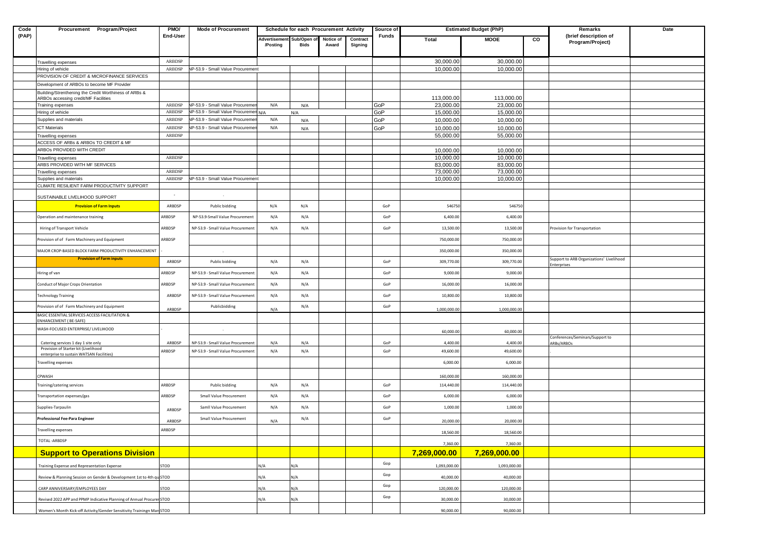| Code  | Procurement Program/Project                                                      | PMO/            | <b>Mode of Procurement</b>           |                           | Schedule for each Procurement Activity |           |          | Source of |                         | <b>Estimated Budget (PhP)</b> |   | Remarks                                                        | Date |
|-------|----------------------------------------------------------------------------------|-----------------|--------------------------------------|---------------------------|----------------------------------------|-----------|----------|-----------|-------------------------|-------------------------------|---|----------------------------------------------------------------|------|
| (PAP) |                                                                                  | <b>End-User</b> |                                      | Advertisement Sub/Open of |                                        | Notice of | Contract | Funds     | Total                   | <b>MOOE</b>                   | g | (brief description of<br>Program/Project)                      |      |
|       |                                                                                  |                 |                                      | /Posting                  | <b>Bids</b>                            | Award     | Signing  |           |                         |                               |   |                                                                |      |
|       | Travelling expenses                                                              | ARBDSP          |                                      |                           |                                        |           |          |           | 30,000.00               | 30,000.00                     |   |                                                                |      |
|       | liring of vehicle                                                                | ARBDSP          | IP-53.9 - Small Value Procurement    |                           |                                        |           |          |           | 10,000.00               | 10,000.00                     |   |                                                                |      |
|       | PROVISION OF CREDIT & MICROFINANCE SERVICES                                      |                 |                                      |                           |                                        |           |          |           |                         |                               |   |                                                                |      |
|       | Development of ARBOs to become MF Provider                                       |                 |                                      |                           |                                        |           |          |           |                         |                               |   |                                                                |      |
|       | Building/Strenthening the Credit Worthiness of ARBs &                            |                 |                                      |                           |                                        |           |          |           |                         |                               |   |                                                                |      |
|       | ARBOs accessing credit/MF Facilities<br>Training expenses                        | ARBDSP          | IP-53.9 - Small Value Procureme      | N/A                       | N/A                                    |           |          | GoP       | 113,000.00<br>23,000.00 | 113,000.00<br>23,000.00       |   |                                                                |      |
|       | Hiring of vehicle                                                                | ARBDSP          | IP-53.9 - Small Value Procuremen N/A |                           | N/A                                    |           |          | GoP       | 15,000.00               | 15,000.00                     |   |                                                                |      |
|       | Supplies and materials                                                           | ARBDSP          | IP-53.9 - Small Value Procureme      | N/A                       | N/A                                    |           |          | GoP       | 10,000.00               | 10,000.00                     |   |                                                                |      |
|       | <b>ICT Materials</b>                                                             | ARBDSP          | VP-53.9 - Small Value Procuremer     | N/A                       | N/A                                    |           |          | GoP       | 10,000.00               | 10,000.00                     |   |                                                                |      |
|       | Travelling expenses                                                              | ARBDSP          |                                      |                           |                                        |           |          |           | 55,000.00               | 55,000.00                     |   |                                                                |      |
|       | ACCESS OF ARBs & ARBOs TO CREDIT & MF                                            |                 |                                      |                           |                                        |           |          |           |                         |                               |   |                                                                |      |
|       | ARBOS PROVIDED WITH CREDIT                                                       |                 |                                      |                           |                                        |           |          |           | 10,000.00               | 10,000.00                     |   |                                                                |      |
|       | Travelling expenses                                                              | ARBDSP          |                                      |                           |                                        |           |          |           | 10,000.00               | 10,000.00                     |   |                                                                |      |
|       | ARBS PROVIDED WITH MF SERVICES<br>Travelling expenses                            | ARBDSP          |                                      |                           |                                        |           |          |           | 83,000.00<br>73,000.00  | 83,000.00<br>73,000.00        |   |                                                                |      |
|       | Supplies and materials                                                           | ARBDSP          | VP-53.9 - Small Value Procurement    |                           |                                        |           |          |           | 10,000.00               | 10,000.00                     |   |                                                                |      |
|       | CLIMATE RESILIENT FARM PRODUCTIVITY SUPPORT                                      |                 |                                      |                           |                                        |           |          |           |                         |                               |   |                                                                |      |
|       | SUSTAINABLE LIVELIHOOD SUPPORT                                                   |                 |                                      |                           |                                        |           |          |           |                         |                               |   |                                                                |      |
|       | <b>Provision of Farm Inputs</b>                                                  | ARBDSP          | Public bidding                       | N/A                       | N/A                                    |           |          | GoP       | 546750                  | 546750                        |   |                                                                |      |
|       | Operation and maintenance training                                               | ARBDSP          | NP-53.9-Small Value Procurement      | N/A                       | N/A                                    |           |          | GoP       | 6,400.00                | 6,400.00                      |   |                                                                |      |
|       | Hiring of Transport Vehicle                                                      | ARBDSP          | NP-53.9 - Small Value Procuremen     | N/A                       | N/A                                    |           |          | GoP       | 13,500.00               | 13,500.00                     |   | Provision for Transportation                                   |      |
|       | Provision of of Farm Machinery and Equipment                                     | ARBDSP          |                                      |                           |                                        |           |          |           | 750,000.00              | 750,000.00                    |   |                                                                |      |
|       | MAJOR CROP-BASED BLOCK FARM PRODUCTIVITY ENHANCEMENT                             |                 |                                      |                           |                                        |           |          |           | 350,000.00              | 350,000.00                    |   |                                                                |      |
|       | <b>Provision of Farm inputs</b>                                                  | ARBDSP          | Public bidding                       | N/A                       | N/A                                    |           |          | GoP       | 309,770.00              | 309,770.00                    |   | Support to ARB Organizations' Livelihood<br><b>Enterprises</b> |      |
|       | Hiring of van                                                                    | ARBDSP          | NP-53.9 - Small Value Procuremen     | N/A                       | N/A                                    |           |          | GoP       | 9,000.00                | 9,000.00                      |   |                                                                |      |
|       | Conduct of Major Crops Orientation                                               | ARBDSP          | NP-53.9 - Small Value Procurement    | N/A                       | N/A                                    |           |          | GoP       | 16,000.00               | 16,000.00                     |   |                                                                |      |
|       | <b>Technology Training</b>                                                       | ARBDSP          | NP-53.9 - Small Value Procurement    | N/A                       | N/A                                    |           |          | GoP       | 10,800.00               | 10,800.00                     |   |                                                                |      |
|       | Provision of of Farm Machinery and Equipment                                     | ARBDSP          | Publicbidding                        | N/A                       | N/A                                    |           |          | GoP       | 1,000,000.00            | 1,000,000.00                  |   |                                                                |      |
|       | BASIC ESSENTIAL SERVICES ACCESS FACILITATION &<br>ENHANCEMENT (BE-SAFE)          |                 |                                      |                           |                                        |           |          |           |                         |                               |   |                                                                |      |
|       | WASH-FOCUSED ENTERPRISE/ LIVELIHOOD                                              |                 |                                      |                           |                                        |           |          |           | 60,000.00               | 60,000.00                     |   |                                                                |      |
|       | Catering services 1 day 1 site only                                              | ARBDSP          | NP-53.9 - Small Value Procurement    | N/A                       | N/A                                    |           |          | GoP       | 4,400.00                | 4,400.00                      |   | Conferences/Seminars/Support to<br>ARBs/ARBOs                  |      |
|       | Provision of Starter kit (Livelihood<br>enterprise to sustain WATSAN Facilities) | ARBDSP          | NP-53.9 - Small Value Procurement    | N/A                       | N/A                                    |           |          | GoP       | 49,600.00               | 49,600.00                     |   |                                                                |      |
|       | Travelling expenses                                                              |                 |                                      |                           |                                        |           |          |           | 6,000.00                | 6,000.00                      |   |                                                                |      |
|       |                                                                                  |                 |                                      |                           |                                        |           |          |           |                         |                               |   |                                                                |      |
|       | CPWASH                                                                           |                 |                                      |                           |                                        |           |          |           | 160,000.00              | 160,000.0                     |   |                                                                |      |
|       | Training/catering services                                                       | ARBDSP          | Public bidding                       | N/A                       | N/A                                    |           |          | GoP       | 114,440.00              | 114,440.00                    |   |                                                                |      |
|       | Transportation expenses/gas                                                      | ARBDSP          | Small Value Procurement              | N/A                       | N/A                                    |           |          | GoP       | 6,000.00                | 6,000.00                      |   |                                                                |      |
|       | Supplies-Tarpaulin                                                               | ARBDSP          | Samll Value Procurement              | N/A                       | N/A                                    |           |          | GoP       | 1,000.00                | 1,000.00                      |   |                                                                |      |
|       | Professional Fee-Para Engineer                                                   | ARBDSP          | Small Value Procurement              | N/A                       | N/A                                    |           |          | GoP       | 20,000.00               | 20,000.00                     |   |                                                                |      |
|       | Travelling expenses                                                              | ARBDSP          |                                      |                           |                                        |           |          |           | 18,560.00               | 18,560.00                     |   |                                                                |      |
|       | TOTAL-ARBDSP                                                                     |                 |                                      |                           |                                        |           |          |           | 7,360.00                | 7,360.00                      |   |                                                                |      |
|       | <b>Support to Operations Division</b>                                            |                 |                                      |                           |                                        |           |          |           | 7,269,000.00            | 7,269,000.00                  |   |                                                                |      |
|       | Training Expense and Representation Expense                                      | STOD            |                                      | N/A                       | N/A                                    |           |          | Gop       | 1,093,000.00            | 1,093,000.00                  |   |                                                                |      |
|       | Review & Planning Session on Gender & Development 1st to 4th qu STOD             |                 |                                      | N/A                       | N/A                                    |           |          | Gop       | 40,000.00               | 40,000.00                     |   |                                                                |      |
|       | CARP ANNIVERSARY/EMPLOYEES DAY                                                   | STOD            |                                      | N/A                       | N/A                                    |           |          | Gop       | 120,000.00              | 120,000.00                    |   |                                                                |      |
|       | Revised 2022 APP and PPMP Indicative Planning of Annual Procurer STOD            |                 |                                      | N/A                       | N/A                                    |           |          | Gop       | 30,000.00               | 30,000.00                     |   |                                                                |      |
|       | Women's Month Kick-off Activity/Gender Sensitivity Trainingn Man STOD            |                 |                                      |                           |                                        |           |          |           | 90,000.00               | 90,000.00                     |   |                                                                |      |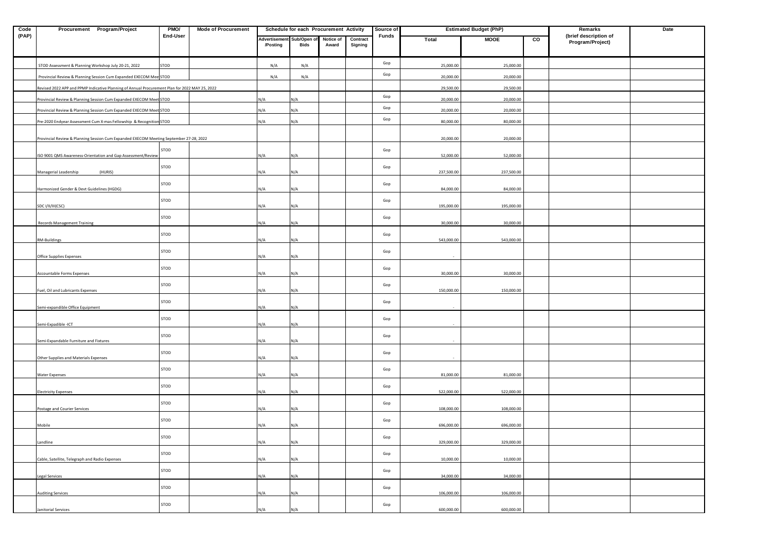| Code  | Procurement Program/Project                                                                    | PMO/     | <b>Mode of Procurement</b> |               | Schedule for each Procurement Activity |           |          | Source of |            | <b>Estimated Budget (PhP)</b> |                | Remarks                                   | Date |
|-------|------------------------------------------------------------------------------------------------|----------|----------------------------|---------------|----------------------------------------|-----------|----------|-----------|------------|-------------------------------|----------------|-------------------------------------------|------|
| (PAP) |                                                                                                | End-User |                            | Advertisement | Sub/Open of                            | Notice of | Contract | Funds     | Total      | <b>MOOE</b>                   | $\overline{c}$ | (brief description of<br>Program/Project) |      |
|       |                                                                                                |          |                            | /Posting      | Bids                                   | Award     | Signing  |           |            |                               |                |                                           |      |
|       | STOD Assessment & Planning Workshop July 20-21, 2022                                           | STOD     |                            | N/A           | N/A                                    |           |          | Gop       | 25,000.00  | 25,000.00                     |                |                                           |      |
|       | Provincial Review & Planning Session Cum Expanded EXECOM Mee STOD                              |          |                            | N/A           | N/A                                    |           |          | Gop       | 20,000.00  | 20,000.00                     |                |                                           |      |
|       | Revised 2022 APP and PPMP Indicative Planning of Annual Procurement Plan for 2022 MAY 25, 2022 |          |                            |               |                                        |           |          |           | 29,500.00  | 29,500.00                     |                |                                           |      |
|       | Provincial Review & Planning Session Cum Expanded EXECOM Meet STOD                             |          |                            | N/A           | N/A                                    |           |          | Gop       | 20,000.00  | 20,000.00                     |                |                                           |      |
|       | Provincial Review & Planning Session Cum Expanded EXECOM Meet STOD                             |          |                            | N/A           | N/A                                    |           |          | Gop       | 20,000.00  | 20,000.00                     |                |                                           |      |
|       | Pre-2020 Endyear Assessment Cum X-mas Fellowship & Recognition STOD                            |          |                            | N/A           | N/A                                    |           |          | Gop       | 80,000.00  | 80,000.00                     |                |                                           |      |
|       |                                                                                                |          |                            |               |                                        |           |          |           |            |                               |                |                                           |      |
|       | Provincial Review & Planning Session Cum Expanded EXECOM Meeting September 27-28, 2022         |          |                            |               |                                        |           |          |           | 20,000.00  | 20,000.00                     |                |                                           |      |
|       | ISO 9001 QMS Awareness-Orientation and Gap Assessment/Review                                   | STOD     |                            | N/A           | N/A                                    |           |          | Gop       | 52,000.00  | 52,000.00                     |                |                                           |      |
|       |                                                                                                | STOD     |                            |               |                                        |           |          | Gop       |            |                               |                |                                           |      |
|       | (HURIS)<br>Managerial Leadership                                                               |          |                            | N/A           | N/A                                    |           |          |           | 237,500.00 | 237,500.00                    |                |                                           |      |
|       | Harmonized Gender & Devt Guidelines (HGDG)                                                     | STOD     |                            | N/A           | N/A                                    |           |          | Gop       | 84,000.00  | 84,000.00                     |                |                                           |      |
|       |                                                                                                | STOD     |                            |               |                                        |           |          | Gop       |            |                               |                |                                           |      |
|       | SDC I/II/III(CSC)                                                                              |          |                            | N/A           | N/A                                    |           |          |           | 195,000.00 | 195,000.00                    |                |                                           |      |
|       | <b>Records Management Training</b>                                                             | STOD     |                            | N/A           | N/A                                    |           |          | Gop       | 30,000.00  | 30,000.00                     |                |                                           |      |
|       |                                                                                                | STOD     |                            |               |                                        |           |          | Gop       |            |                               |                |                                           |      |
|       | RM-Buildings                                                                                   |          |                            | N/A           | N/A                                    |           |          |           | 543,000.00 | 543,000.00                    |                |                                           |      |
|       | Office Supplies Expenses                                                                       | STOD     |                            | N/A           | N/A                                    |           |          | Gop       |            |                               |                |                                           |      |
|       |                                                                                                |          |                            |               |                                        |           |          |           |            |                               |                |                                           |      |
|       | <b>Accountable Forms Expenses</b>                                                              | STOD     |                            | N/A           | N/A                                    |           |          | Gop       | 30,000.00  | 30,000.00                     |                |                                           |      |
|       | Fuel, Oil and Lubricants Expenses                                                              | STOD     |                            | N/A           | N/A                                    |           |          | Gop       | 150,000.00 | 150,000.00                    |                |                                           |      |
|       |                                                                                                | STOD     |                            |               |                                        |           |          | Gop       |            |                               |                |                                           |      |
|       | Semi-expandible Office Equipment                                                               |          |                            | N/A           | N/A                                    |           |          |           |            |                               |                |                                           |      |
|       | Semi-Expadible -ICT                                                                            | STOD     |                            | N/A           | N/A                                    |           |          | Gop       |            |                               |                |                                           |      |
|       |                                                                                                | STOD     |                            |               |                                        |           |          | Gop       |            |                               |                |                                           |      |
|       | Semi-Expandable Furniture and Fixtures                                                         |          |                            | N/A           | N/A                                    |           |          |           |            |                               |                |                                           |      |
|       | Other Supplies and Materials Expenses                                                          | STOD     |                            | N/A           | N/A                                    |           |          | Gop       |            |                               |                |                                           |      |
|       |                                                                                                | STOD     |                            |               |                                        |           |          | Gop       |            |                               |                |                                           |      |
|       | <b>Water Expenses</b>                                                                          |          |                            | N/A           | N/A                                    |           |          |           | 81,000.00  | 81,000.00                     |                |                                           |      |
|       | <b>Electricity Expenses</b>                                                                    | STOD     |                            | N/A           | N/A                                    |           |          | Gop       | 522,000.00 | 522,000.00                    |                |                                           |      |
|       |                                                                                                | STOD     |                            |               |                                        |           |          |           |            |                               |                |                                           |      |
|       | Postage and Courier Services                                                                   |          |                            | N/A           | N/A                                    |           |          | Gop       | 108,000.00 | 108,000.00                    |                |                                           |      |
|       | Mobile                                                                                         | STOD     |                            | N/A           | N/A                                    |           |          | Gop       | 696,000.00 | 696,000.00                    |                |                                           |      |
|       |                                                                                                |          |                            |               |                                        |           |          |           |            |                               |                |                                           |      |
|       | Landline                                                                                       | STOD     |                            | N/A           | N/A                                    |           |          | Gop       | 329,000.00 | 329,000.00                    |                |                                           |      |
|       |                                                                                                | STOD     |                            |               |                                        |           |          | Gop       |            |                               |                |                                           |      |
|       | Cable, Satellite, Telegraph and Radio Expenses                                                 |          |                            | N/A           | N/A                                    |           |          |           | 10,000.00  | 10,000.00                     |                |                                           |      |
|       | Legal Services                                                                                 | STOD     |                            | N/A           | N/A                                    |           |          | Gop       | 34,000.00  | 34,000.00                     |                |                                           |      |
|       |                                                                                                | STOD     |                            |               |                                        |           |          | Gop       |            |                               |                |                                           |      |
|       | <b>Auditing Services</b>                                                                       |          |                            | N/A           | N/A                                    |           |          |           | 106,000.00 | 106,000.00                    |                |                                           |      |
|       | Janitorial Services                                                                            | STOD     |                            | N/A           | N/A                                    |           |          | Gop       | 600,000.00 | 600,000.00                    |                |                                           |      |